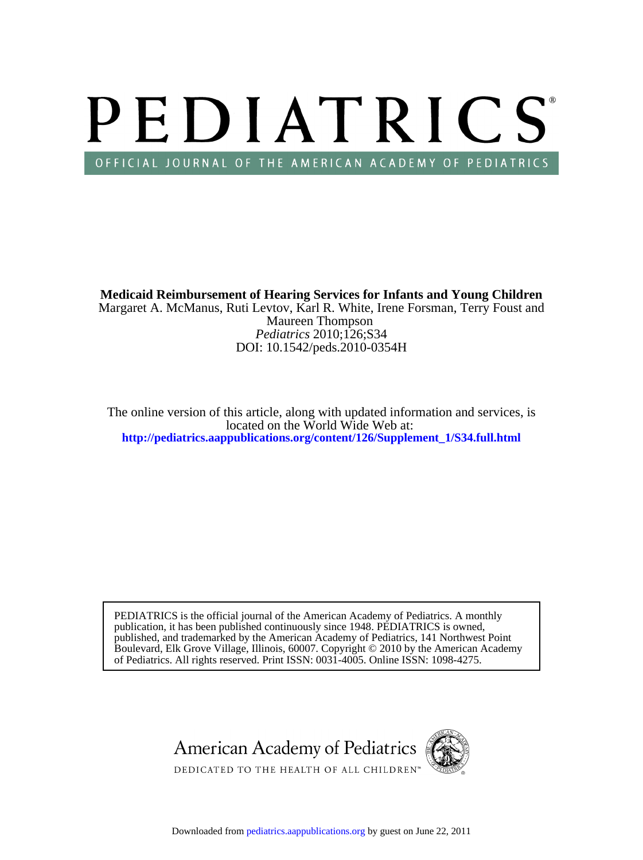# PEDIATRICS OFFICIAL JOURNAL OF THE AMERICAN ACADEMY OF PEDIATRICS

DOI: 10.1542/peds.2010-0354H *Pediatrics* 2010;126;S34 Maureen Thompson Margaret A. McManus, Ruti Levtov, Karl R. White, Irene Forsman, Terry Foust and **Medicaid Reimbursement of Hearing Services for Infants and Young Children**

**[http://pediatrics.aappublications.org/content/126/Supplement\\_1/S34.full.html](http://pediatrics.aappublications.org/content/126/Supplement_1/S34.full.html)** located on the World Wide Web at: The online version of this article, along with updated information and services, is

of Pediatrics. All rights reserved. Print ISSN: 0031-4005. Online ISSN: 1098-4275. Boulevard, Elk Grove Village, Illinois, 60007. Copyright © 2010 by the American Academy published, and trademarked by the American Academy of Pediatrics, 141 Northwest Point publication, it has been published continuously since 1948. PEDIATRICS is owned, PEDIATRICS is the official journal of the American Academy of Pediatrics. A monthly

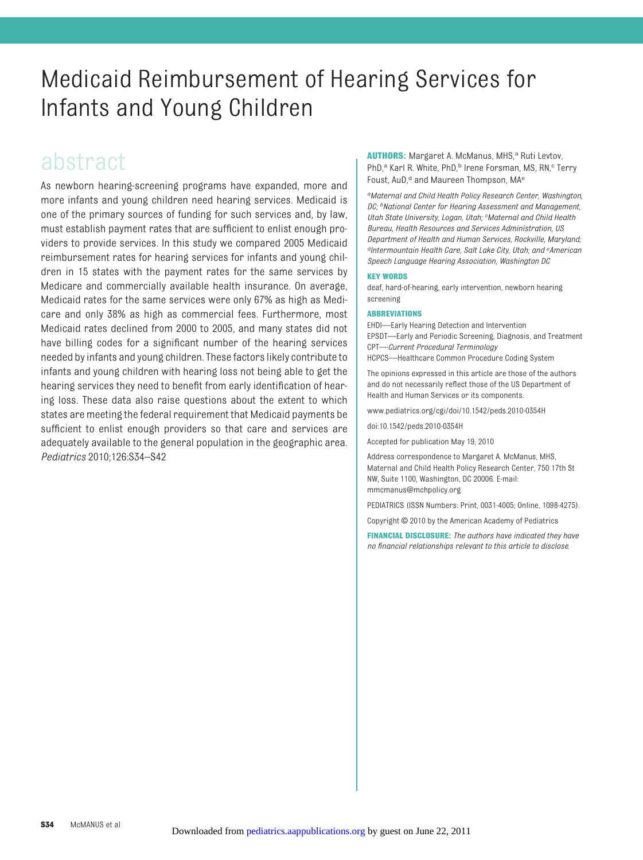# Medicaid Reimbursement of Hearing Services for Infants and Young Children

# abstract

As newborn hearing-screening programs have expanded, more and more infants and young children need hearing services. Medicaid is one of the primary sources of funding for such services and, by law, must establish payment rates that are sufficient to enlist enough providers to provide services. In this study we compared 2005 Medicaid reimbursement rates for hearing services for infants and young children in 15 states with the payment rates for the same services by Medicare and commercially available health insurance. On average, Medicaid rates for the same services were only 67% as high as Medicare and only 38% as high as commercial fees. Furthermore, most Medicaid rates declined from 2000 to 2005, and many states did not have billing codes for a significant number of the hearing services needed by infants and young children. These factors likely contribute to infants and young children with hearing loss not being able to get the hearing services they need to benefit from early identification of hearing loss. These data also raise questions about the extent to which states are meeting the federal requirement that Medicaid payments be sufficient to enlist enough providers so that care and services are adequately available to the general population in the geographic area. *Pediatrics* 2010;126:S34–S42

**AUTHORS:** Margaret A. McManus, MHS,<sup>a</sup> Ruti Levtov, PhD,<sup>a</sup> Karl R. White, PhD,<sup>b</sup> Irene Forsman, MS, RN,<sup>c</sup> Terry Foust, AuD,<sup>d</sup> and Maureen Thompson, MA<sup>e</sup>

*aMaternal and Child Health Policy Research Center, Washington, DC; bNational Center for Hearing Assessment and Management, Utah State University, Logan, Utah; <sup>c</sup> Maternal and Child Health Bureau, Health Resources and Services Administration, US Department of Health and Human Services, Rockville, Maryland; dIntermountain Health Care, Salt Lake City, Utah; and <sup>e</sup> American Speech Language Hearing Association, Washington DC*

#### **KEY WORDS**

deaf, hard-of-hearing, early intervention, newborn hearing screening

#### **ABBREVIATIONS**

EHDI—Early Hearing Detection and Intervention EPSDT—Early and Periodic Screening, Diagnosis, and Treatment CPT—*Current Procedural Terminology* HCPCS—Healthcare Common Procedure Coding System

The opinions expressed in this article are those of the authors and do not necessarily reflect those of the US Department of Health and Human Services or its components.

www.pediatrics.org/cgi/doi/10.1542/peds.2010-0354H

doi:10.1542/peds.2010-0354H

Accepted for publication May 19, 2010

Address correspondence to Margaret A. McManus, MHS, Maternal and Child Health Policy Research Center, 750 17th St NW, Suite 1100, Washington, DC 20006. E-mail: mmcmanus@mchpolicy.org

PEDIATRICS (ISSN Numbers: Print, 0031-4005; Online, 1098-4275).

Copyright © 2010 by the American Academy of Pediatrics

**FINANCIAL DISCLOSURE:** *The authors have indicated they have no financial relationships relevant to this article to disclose.*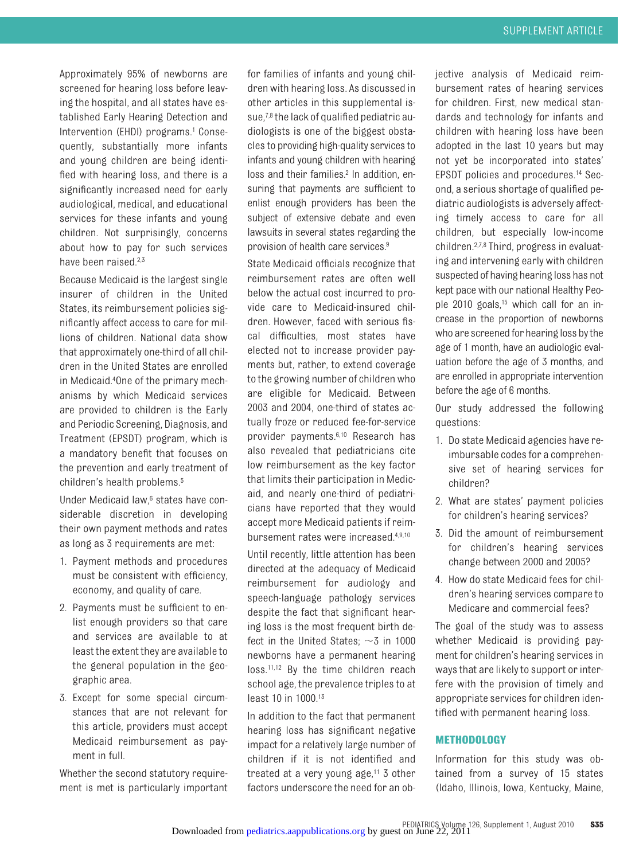Approximately 95% of newborns are screened for hearing loss before leaving the hospital, and all states have established Early Hearing Detection and Intervention (EHDI) programs.<sup>1</sup> Consequently, substantially more infants and young children are being identified with hearing loss, and there is a significantly increased need for early audiological, medical, and educational services for these infants and young children. Not surprisingly, concerns about how to pay for such services have been raised.<sup>2,3</sup>

Because Medicaid is the largest single insurer of children in the United States, its reimbursement policies significantly affect access to care for millions of children. National data show that approximately one-third of all children in the United States are enrolled in Medicaid.4One of the primary mechanisms by which Medicaid services are provided to children is the Early and Periodic Screening, Diagnosis, and Treatment (EPSDT) program, which is a mandatory benefit that focuses on the prevention and early treatment of children's health problems.5

Under Medicaid law,<sup>6</sup> states have considerable discretion in developing their own payment methods and rates as long as 3 requirements are met:

- 1. Payment methods and procedures must be consistent with efficiency, economy, and quality of care.
- 2. Payments must be sufficient to enlist enough providers so that care and services are available to at least the extent they are available to the general population in the geographic area.
- 3. Except for some special circumstances that are not relevant for this article, providers must accept Medicaid reimbursement as payment in full.

Whether the second statutory requirement is met is particularly important

for families of infants and young children with hearing loss. As discussed in other articles in this supplemental issue,7,8 the lack of qualified pediatric audiologists is one of the biggest obstacles to providing high-quality services to infants and young children with hearing loss and their families.<sup>2</sup> In addition, ensuring that payments are sufficient to enlist enough providers has been the subject of extensive debate and even lawsuits in several states regarding the provision of health care services.9

State Medicaid officials recognize that reimbursement rates are often well below the actual cost incurred to provide care to Medicaid-insured children. However, faced with serious fiscal difficulties, most states have elected not to increase provider payments but, rather, to extend coverage to the growing number of children who are eligible for Medicaid. Between 2003 and 2004, one-third of states actually froze or reduced fee-for-service provider payments.6,10 Research has also revealed that pediatricians cite low reimbursement as the key factor that limits their participation in Medicaid, and nearly one-third of pediatricians have reported that they would accept more Medicaid patients if reimbursement rates were increased.4,9,10

Until recently, little attention has been directed at the adequacy of Medicaid reimbursement for audiology and speech-language pathology services despite the fact that significant hearing loss is the most frequent birth defect in the United States;  $\sim$ 3 in 1000 newborns have a permanent hearing loss.<sup>11,12</sup> By the time children reach school age, the prevalence triples to at least 10 in 1000.13

In addition to the fact that permanent hearing loss has significant negative impact for a relatively large number of children if it is not identified and treated at a very young age, $11$  3 other factors underscore the need for an objective analysis of Medicaid reimbursement rates of hearing services for children. First, new medical standards and technology for infants and children with hearing loss have been adopted in the last 10 years but may not yet be incorporated into states' EPSDT policies and procedures.14 Second, a serious shortage of qualified pediatric audiologists is adversely affecting timely access to care for all children, but especially low-income children.2,7,8 Third, progress in evaluating and intervening early with children suspected of having hearing loss has not kept pace with our national Healthy People 2010 goals,15 which call for an increase in the proportion of newborns who are screened for hearing loss by the age of 1 month, have an audiologic evaluation before the age of 3 months, and are enrolled in appropriate intervention before the age of 6 months.

Our study addressed the following questions:

- 1. Do state Medicaid agencies have reimbursable codes for a comprehensive set of hearing services for children?
- 2. What are states' payment policies for children's hearing services?
- 3. Did the amount of reimbursement for children's hearing services change between 2000 and 2005?
- 4. How do state Medicaid fees for children's hearing services compare to Medicare and commercial fees?

The goal of the study was to assess whether Medicaid is providing payment for children's hearing services in ways that are likely to support or interfere with the provision of timely and appropriate services for children identified with permanent hearing loss.

### **METHODOLOGY**

Information for this study was obtained from a survey of 15 states (Idaho, Illinois, Iowa, Kentucky, Maine,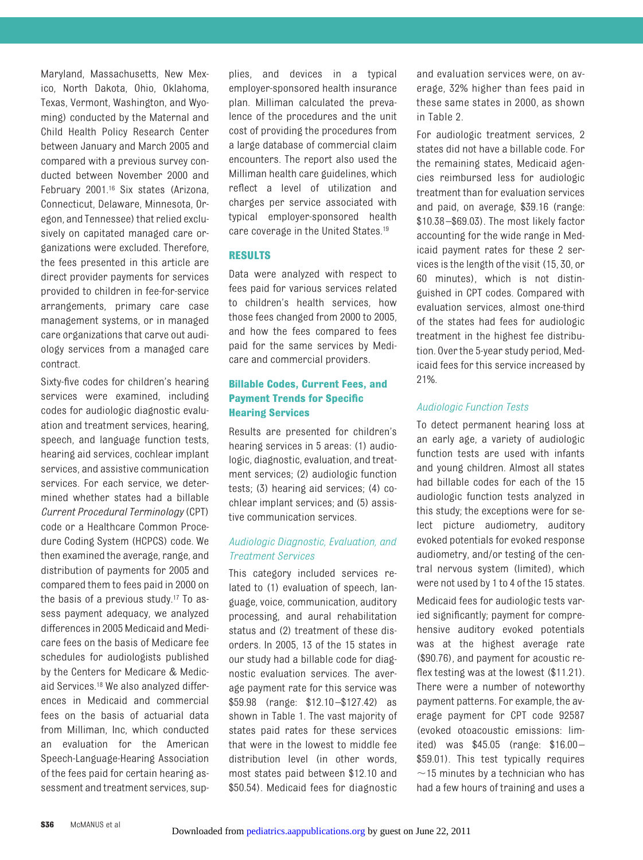Maryland, Massachusetts, New Mexico, North Dakota, Ohio, Oklahoma, Texas, Vermont, Washington, and Wyoming) conducted by the Maternal and Child Health Policy Research Center between January and March 2005 and compared with a previous survey conducted between November 2000 and February 2001.16 Six states (Arizona, Connecticut, Delaware, Minnesota, Oregon, and Tennessee) that relied exclusively on capitated managed care organizations were excluded. Therefore, the fees presented in this article are direct provider payments for services provided to children in fee-for-service arrangements, primary care case management systems, or in managed care organizations that carve out audiology services from a managed care contract.

Sixty-five codes for children's hearing services were examined, including codes for audiologic diagnostic evaluation and treatment services, hearing, speech, and language function tests, hearing aid services, cochlear implant services, and assistive communication services. For each service, we determined whether states had a billable *Current Procedural Terminology* (CPT) code or a Healthcare Common Procedure Coding System (HCPCS) code. We then examined the average, range, and distribution of payments for 2005 and compared them to fees paid in 2000 on the basis of a previous study.17 To assess payment adequacy, we analyzed differences in 2005 Medicaid and Medicare fees on the basis of Medicare fee schedules for audiologists published by the Centers for Medicare & Medicaid Services.18 We also analyzed differences in Medicaid and commercial fees on the basis of actuarial data from Milliman, Inc, which conducted an evaluation for the American Speech-Language-Hearing Association of the fees paid for certain hearing assessment and treatment services, supplies, and devices in a typical employer-sponsored health insurance plan. Milliman calculated the prevalence of the procedures and the unit cost of providing the procedures from a large database of commercial claim encounters. The report also used the Milliman health care guidelines, which reflect a level of utilization and charges per service associated with typical employer-sponsored health care coverage in the United States.<sup>19</sup>

### **RESULTS**

Data were analyzed with respect to fees paid for various services related to children's health services, how those fees changed from 2000 to 2005, and how the fees compared to fees paid for the same services by Medicare and commercial providers.

# **Billable Codes, Current Fees, and Payment Trends for Specific Hearing Services**

Results are presented for children's hearing services in 5 areas: (1) audiologic, diagnostic, evaluation, and treatment services; (2) audiologic function tests; (3) hearing aid services; (4) cochlear implant services; and (5) assistive communication services.

# *Audiologic Diagnostic, Evaluation, and Treatment Services*

This category included services related to (1) evaluation of speech, language, voice, communication, auditory processing, and aural rehabilitation status and (2) treatment of these disorders. In 2005, 13 of the 15 states in our study had a billable code for diagnostic evaluation services. The average payment rate for this service was \$59.98 (range: \$12.10 –\$127.42) as shown in Table 1. The vast majority of states paid rates for these services that were in the lowest to middle fee distribution level (in other words, most states paid between \$12.10 and \$50.54). Medicaid fees for diagnostic and evaluation services were, on average, 32% higher than fees paid in these same states in 2000, as shown in Table 2.

For audiologic treatment services, 2 states did not have a billable code. For the remaining states, Medicaid agencies reimbursed less for audiologic treatment than for evaluation services and paid, on average, \$39.16 (range: \$10.38 –\$69.03). The most likely factor accounting for the wide range in Medicaid payment rates for these 2 services is the length of the visit (15, 30, or 60 minutes), which is not distinguished in CPT codes. Compared with evaluation services, almost one-third of the states had fees for audiologic treatment in the highest fee distribution. Over the 5-year study period, Medicaid fees for this service increased by 21%.

# *Audiologic Function Tests*

To detect permanent hearing loss at an early age, a variety of audiologic function tests are used with infants and young children. Almost all states had billable codes for each of the 15 audiologic function tests analyzed in this study; the exceptions were for select picture audiometry, auditory evoked potentials for evoked response audiometry, and/or testing of the central nervous system (limited), which were not used by 1 to 4 of the 15 states.

Medicaid fees for audiologic tests varied significantly; payment for comprehensive auditory evoked potentials was at the highest average rate (\$90.76), and payment for acoustic reflex testing was at the lowest (\$11.21). There were a number of noteworthy payment patterns. For example, the average payment for CPT code 92587 (evoked otoacoustic emissions: limited) was \$45.05 (range: \$16.00 – \$59.01). This test typically requires  $\sim$ 15 minutes by a technician who has had a few hours of training and uses a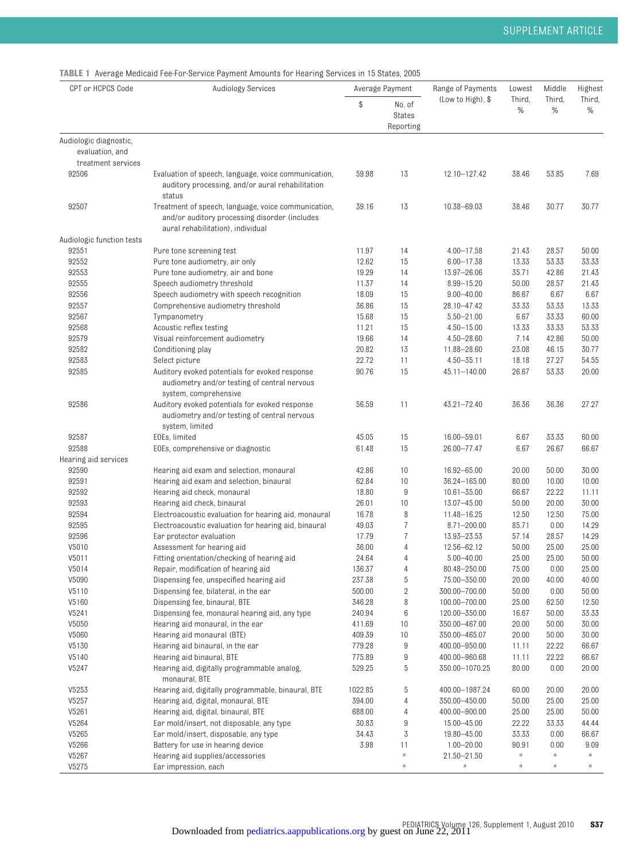**TABLE 1** Average Medicaid Fee-For-Service Payment Amounts for Hearing Services in 15 States, 2005

| CPT or HCPCS Code         | <b>Audiology Services</b>                                                                                                                 |                  | Average Payment                      | Range of Payments                | Lowest         | Middle         | Highest        |
|---------------------------|-------------------------------------------------------------------------------------------------------------------------------------------|------------------|--------------------------------------|----------------------------------|----------------|----------------|----------------|
|                           |                                                                                                                                           | \$               | No. of<br><b>States</b><br>Reporting | (Low to High), \$                | Third,<br>$\%$ | Third,<br>%    | Third,<br>%    |
| Audiologic diagnostic,    |                                                                                                                                           |                  |                                      |                                  |                |                |                |
| evaluation, and           |                                                                                                                                           |                  |                                      |                                  |                |                |                |
| treatment services        |                                                                                                                                           |                  |                                      |                                  |                |                |                |
| 92506                     | Evaluation of speech, language, voice communication,<br>auditory processing, and/or aural rehabilitation<br>status                        | 59.98            | 13                                   | 12.10-127.42                     | 38.46          | 53.85          | 7.69           |
| 92507                     | Treatment of speech, language, voice communication,<br>and/or auditory processing disorder (includes<br>aural rehabilitation), individual | 39.16            | 13                                   | 10.38-69.03                      | 38.46          | 30.77          | 30.77          |
| Audiologic function tests |                                                                                                                                           |                  |                                      |                                  |                |                |                |
| 92551                     | Pure tone screening test                                                                                                                  | 11.97            | 14                                   | $4.00 - 17.58$                   | 21.43          | 28.57          | 50.00          |
| 92552                     | Pure tone audiometry, air only                                                                                                            | 12.62            | 15                                   | 6.00-17.38                       | 13.33          | 53.33          | 33.33          |
| 92553                     | Pure tone audiometry, air and bone                                                                                                        | 19.29            | 14                                   | 13.97-26.06                      | 35.71          | 42.86          | 21.43          |
| 92555                     | Speech audiometry threshold                                                                                                               | 11.37            | 14                                   | 8.99-15.20                       | 50.00          | 28.57          | 21.43          |
| 92556                     | Speech audiometry with speech recognition                                                                                                 | 18.09            | 15                                   | $9.00 - 40.00$                   | 86.67          | 6.67           | 6.67           |
| 92557                     | Comprehensive audiometry threshold                                                                                                        | 36.86            | 15                                   | 28.10-47.42                      | 33.33          | 53.33          | 13.33          |
| 92567                     | Tympanometry                                                                                                                              | 15.68            | 15                                   | $5.50 - 21.00$                   | 6.67           | 33.33          | 60.00          |
| 92568                     | Acoustic reflex testing                                                                                                                   | 11.21            | 15                                   | $4.50 - 15.00$                   | 13.33          | 33.33          | 53.33          |
| 92579                     | Visual reinforcement audiometry                                                                                                           | 19.66            | 14                                   | $4.50 - 28.60$                   | 7.14           | 42.86          | 50.00          |
| 92582                     | Conditioning play                                                                                                                         | 20.82            | 13                                   | 11.88-28.60                      | 23.08          | 46.15          | 30.77          |
| 92583                     | Select picture                                                                                                                            | 22.72            | 11                                   | $4.50 - 35.11$                   | 18.18          | 27.27          | 54.55          |
| 92585                     | Auditory evoked potentials for evoked response<br>audiometry and/or testing of central nervous<br>system, comprehensive                   | 90.76            | 15                                   | 45.11-140.00                     | 26.67          | 53.33          | 20.00          |
| 92586                     | Auditory evoked potentials for evoked response<br>audiometry and/or testing of central nervous                                            | 56.59            | 11                                   | 43.21-72.40                      | 36.36          | 36.36          | 27.27          |
|                           | system, limited                                                                                                                           |                  |                                      |                                  |                |                |                |
| 92587                     | EOEs, limited                                                                                                                             | 45.05            | 15                                   | 16.00 - 59.01                    | 6.67           | 33.33          | 60.00          |
| 92588                     | EOEs, comprehensive or diagnostic                                                                                                         | 61.48            | 15                                   | 26.00-77.47                      | 6.67           | 26.67          | 66.67          |
| Hearing aid services      |                                                                                                                                           |                  |                                      |                                  |                |                |                |
| 92590                     | Hearing aid exam and selection, monaural                                                                                                  | 42.86            | 10                                   | 16.92-65.00                      | 20.00          | 50.00          | 30.00          |
| 92591                     | Hearing aid exam and selection, binaural                                                                                                  | 62.84            | 10                                   | 36.24-165.00                     | 80.00          | 10.00          | 10.00          |
| 92592                     | Hearing aid check, monaural                                                                                                               | 18.80            | 9                                    | $10.61 - 35.00$                  | 66.67          | 22.22          | 11.11          |
| 92593                     | Hearing aid check, binaural                                                                                                               | 26.01            | 10                                   | 13.07-45.00                      | 50.00          | 20.00          | 30.00          |
| 92594                     | Electroacoustic evaluation for hearing aid, monaural                                                                                      | 16.78            | 8                                    | 11.48-16.25                      | 12.50          | 12.50          | 75.00          |
| 92595                     | Electroacoustic evaluation for hearing aid, binaural                                                                                      | 49.03            | $\overline{7}$                       | 8.71-200.00                      | 85.71          | 0.00           | 14.29          |
| 92596                     | Ear protector evaluation                                                                                                                  | 17.79            | $\overline{7}$                       | 13.93-23.53                      | 57.14          | 28.57          | 14.29          |
| V5010                     | Assessment for hearing aid                                                                                                                | 36.00            | $\overline{4}$                       | 12.56-62.12                      | 50.00          | 25.00          | 25.00          |
| V5011                     | Fitting orientation/checking of hearing aid                                                                                               | 24.64            | $\overline{4}$                       | $5.00 - 40.00$                   | 25.00          | 25.00          | 50.00          |
| V5014                     | Repair, modification of hearing aid                                                                                                       | 136.37           |                                      | 80.48-250.00                     | 75.00          | 0.00           | 25.00          |
| V5090                     | Dispensing fee, unspecified hearing aid                                                                                                   | 237.38           | 5                                    | 75.00-350.00                     | 20.00          | 40.00          | 40.00          |
| V5110                     | Dispensing fee, bilateral, in the ear                                                                                                     | 500.00           | 2                                    | 300.00-700.00                    | 50.00          | 0.00           | 50.00          |
| V5160<br>V5241            | Dispensing fee, binaural, BTE<br>Dispensing fee, monaural hearing aid, any type                                                           | 346.28           | 8                                    | 100.00-700.00                    | 25.00          | 62.50          | 12.50          |
| V5050                     | Hearing aid monaural, in the ear                                                                                                          | 240.94<br>411.69 | 6                                    | 120.00-350.00<br>350.00 - 467.00 | 16.67<br>20.00 | 50.00          | 33.33          |
| V5060                     | Hearing aid monaural (BTE)                                                                                                                | 409.39           | 10<br>10                             | 350.00-465.07                    | 20.00          | 50.00          | 30.00<br>30.00 |
| V5130                     | Hearing aid binaural, in the ear                                                                                                          | 779.28           | 9                                    | 400.00-950.00                    | 11.11          | 50.00<br>22.22 | 66.67          |
| V5140                     | Hearing aid binaural, BTE                                                                                                                 | 775.89           | 9                                    | 400.00-960.68                    | 11.11          | 22.22          | 66.67          |
| V5247                     | Hearing aid, digitally programmable analog,                                                                                               | 529.25           | 5                                    | 350.00-1070.25                   | 80.00          | 0.00           | 20.00          |
|                           | monaural, BTE                                                                                                                             |                  |                                      |                                  |                |                |                |
| V5253                     | Hearing aid, digitally programmable, binaural, BTE                                                                                        | 1022.85          | 5                                    | 400.00-1987.24                   | 60.00          | 20.00          | 20.00          |
| V5257                     | Hearing aid, digital, monaural, BTE                                                                                                       | 394.00           | 4                                    | 350.00 - 450.00                  | 50.00          | 25.00          | 25.00          |
| V5261                     | Hearing aid, digital, binaural, BTE                                                                                                       | 688.00           | 4                                    | 400.00-900.00                    | 25.00          | 25.00          | 50.00          |
| V5264                     | Ear mold/insert, not disposable, any type                                                                                                 | 30.83            | 9                                    | 15.00 - 45.00                    | 22.22          | 33.33          | 44.44          |
| V5265                     | Ear mold/insert, disposable, any type                                                                                                     | 34.43            | 3                                    | 19.80 - 45.00                    | 33.33          | 0.00           | 66.67          |
| V5266                     | Battery for use in hearing device                                                                                                         | 3.98             | 11                                   | $1.00 - 20.00$                   | 90.91          | 0.00           | 9.09           |
| V5267                     | Hearing aid supplies/accessories                                                                                                          |                  | $\rm{a}$                             | 21.50-21.50                      | $\mathsf a$    | $\rm{a}$       | a              |
| V5275                     | Ear impression, each                                                                                                                      |                  | $\rm{a}$                             | $\rm{a}$                         | $\rm{a}$       | $\mathsf a$    | $\rm{a}$       |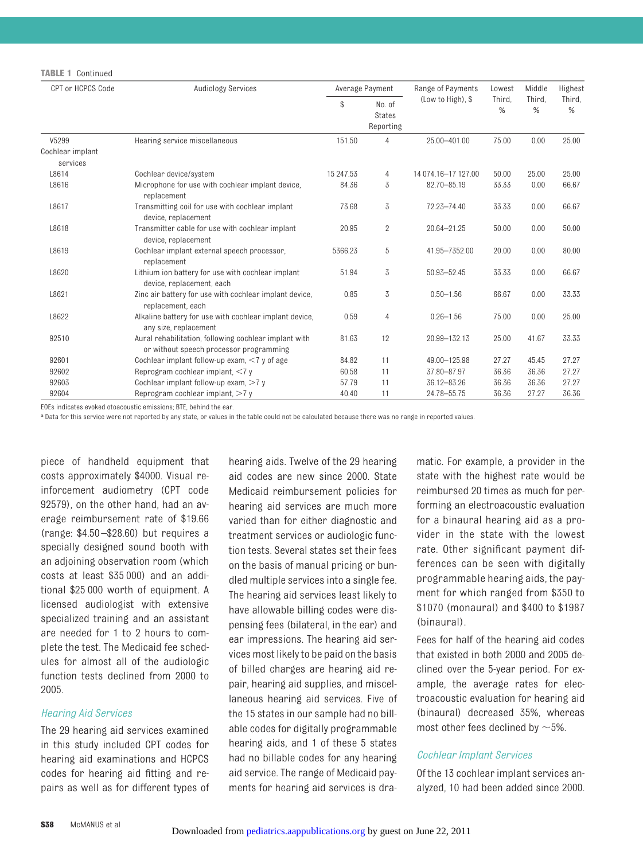#### **TABLE 1** Continued

| CPT or HCPCS Code            | Audiology Services                                                                               |           | Average Payment                      | Range of Payments     | Lowest<br>Third,<br>% | Middle<br>Third.<br>% | Highest<br>Third,<br>$\%$ |
|------------------------------|--------------------------------------------------------------------------------------------------|-----------|--------------------------------------|-----------------------|-----------------------|-----------------------|---------------------------|
|                              |                                                                                                  | \$        | No. of<br><b>States</b><br>Reporting | (Low to High), \$     |                       |                       |                           |
| V5299                        | Hearing service miscellaneous                                                                    | 151.50    | 4                                    | 25.00-401.00          | 75.00                 | 0.00                  | 25.00                     |
| Cochlear implant<br>services |                                                                                                  |           |                                      |                       |                       |                       |                           |
| L8614                        | Cochlear device/system                                                                           | 15 247.53 | $\overline{4}$                       | 14 074 16 - 17 127 00 | 50.00                 | 25.00                 | 25.00                     |
| L8616                        | Microphone for use with cochlear implant device,<br>replacement                                  | 84.36     | 3                                    | 82.70-85.19           | 33.33                 | 0.00                  | 66.67                     |
| L8617                        | Transmitting coil for use with cochlear implant<br>device, replacement                           | 73.68     | 3                                    | 72.23-74.40           | 33.33                 | 0.00                  | 66.67                     |
| L8618                        | Transmitter cable for use with cochlear implant<br>device, replacement                           | 20.95     | $\overline{2}$                       | 20.64-21.25           | 50.00                 | 0.00                  | 50.00                     |
| L8619                        | Cochlear implant external speech processor,<br>replacement                                       | 5366.23   | 5                                    | 41.95-7352.00         | 20.00                 | 0.00                  | 80.00                     |
| L8620                        | Lithium ion battery for use with cochlear implant<br>device, replacement, each                   | 51.94     | 3                                    | 50.93-52.45           | 33.33                 | 0.00                  | 66.67                     |
| L8621                        | Zinc air battery for use with cochlear implant device,<br>replacement, each                      | 0.85      | 3                                    | $0.50 - 1.56$         | 66.67                 | 0.00                  | 33.33                     |
| L8622                        | Alkaline battery for use with cochlear implant device,<br>any size, replacement                  | 0.59      | 4                                    | $0.26 - 1.56$         | 75.00                 | 0.00                  | 25.00                     |
| 92510                        | Aural rehabilitation, following cochlear implant with<br>or without speech processor programming | 81.63     | 12                                   | 20.99-132.13          | 25.00                 | 41.67                 | 33.33                     |
| 92601                        | Cochlear implant follow-up exam, $\leq 7$ y of age                                               | 84.82     | 11                                   | 49.00-125.98          | 27.27                 | 45.45                 | 27.27                     |
| 92602                        | Reprogram cochlear implant, <7 y                                                                 | 60.58     | 11                                   | 37.80-87.97           | 36.36                 | 36.36                 | 27.27                     |
| 92603                        | Cochlear implant follow-up exam, $>7$ y                                                          | 57.79     | 11                                   | 36.12-83.26           | 36.36                 | 36.36                 | 27.27                     |
| 92604                        | Reprogram cochlear implant, >7 y                                                                 | 40.40     | 11                                   | 24.78-55.75           | 36.36                 | 27.27                 | 36.36                     |

EOEs indicates evoked otoacoustic emissions; BTE, behind the ear.

a Data for this service were not reported by any state, or values in the table could not be calculated because there was no range in reported values.

piece of handheld equipment that costs approximately \$4000. Visual reinforcement audiometry (CPT code 92579), on the other hand, had an average reimbursement rate of \$19.66 (range: \$4.50 –\$28.60) but requires a specially designed sound booth with an adjoining observation room (which costs at least \$35 000) and an additional \$25 000 worth of equipment. A licensed audiologist with extensive specialized training and an assistant are needed for 1 to 2 hours to complete the test. The Medicaid fee schedules for almost all of the audiologic function tests declined from 2000 to 2005.

#### *Hearing Aid Services*

The 29 hearing aid services examined in this study included CPT codes for hearing aid examinations and HCPCS codes for hearing aid fitting and repairs as well as for different types of hearing aids. Twelve of the 29 hearing aid codes are new since 2000. State Medicaid reimbursement policies for hearing aid services are much more varied than for either diagnostic and treatment services or audiologic function tests. Several states set their fees on the basis of manual pricing or bundled multiple services into a single fee. The hearing aid services least likely to have allowable billing codes were dispensing fees (bilateral, in the ear) and ear impressions. The hearing aid services most likely to be paid on the basis of billed charges are hearing aid repair, hearing aid supplies, and miscellaneous hearing aid services. Five of the 15 states in our sample had no billable codes for digitally programmable hearing aids, and 1 of these 5 states had no billable codes for any hearing aid service. The range of Medicaid payments for hearing aid services is dramatic. For example, a provider in the state with the highest rate would be reimbursed 20 times as much for performing an electroacoustic evaluation for a binaural hearing aid as a provider in the state with the lowest rate. Other significant payment differences can be seen with digitally programmable hearing aids, the payment for which ranged from \$350 to \$1070 (monaural) and \$400 to \$1987 (binaural).

Fees for half of the hearing aid codes that existed in both 2000 and 2005 declined over the 5-year period. For example, the average rates for electroacoustic evaluation for hearing aid (binaural) decreased 35%, whereas most other fees declined by  $\sim$  5%.

#### *Cochlear Implant Services*

Of the 13 cochlear implant services analyzed, 10 had been added since 2000.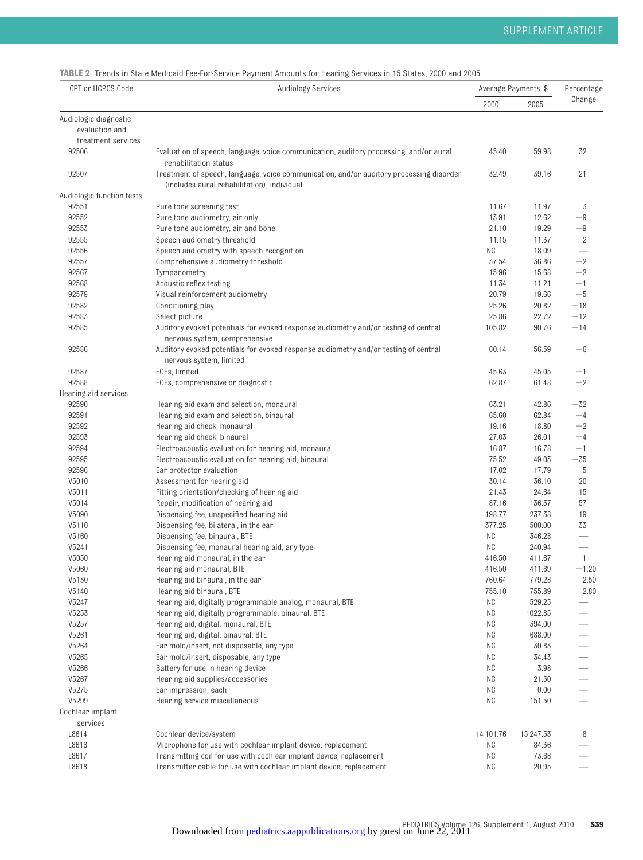**TABLE 2** Trends in State Medicaid Fee-For-Service Payment Amounts for Hearing Services in 15 States, 2000 and 2005

| CPT or HCPCS Code         | Audiology Services                                                                                                                     | Average Payments, \$ | Percentage |              |
|---------------------------|----------------------------------------------------------------------------------------------------------------------------------------|----------------------|------------|--------------|
|                           |                                                                                                                                        | 2000                 | 2005       | Change       |
| Audiologic diagnostic     |                                                                                                                                        |                      |            |              |
| evaluation and            |                                                                                                                                        |                      |            |              |
| treatment services        |                                                                                                                                        |                      |            |              |
| 92506                     | Evaluation of speech, language, voice communication, auditory processing, and/or aural<br>rehabilitation status                        | 45.40                | 59.98      | 32           |
| 92507                     | Treatment of speech, language, voice communication, and/or auditory processing disorder<br>(includes aural rehabilitation), individual | 32.49                | 39.16      | 21           |
| Audiologic function tests |                                                                                                                                        |                      |            |              |
| 92551                     | Pure tone screening test                                                                                                               | 11.67                | 11.97      | 3            |
| 92552                     | Pure tone audiometry, air only                                                                                                         | 13.91                | 12.62      | $-9$         |
| 92553                     | Pure tone audiometry, air and bone                                                                                                     | 21.10                | 19.29      | $-9$         |
| 92555                     | Speech audiometry threshold                                                                                                            | 11.15                | 11.37      | 2            |
| 92556                     | Speech audiometry with speech recognition                                                                                              | <b>NC</b>            | 18.09      |              |
| 92557                     | Comprehensive audiometry threshold                                                                                                     | 37.54                | 36.86      | $^{-2}$      |
| 92567                     | Tympanometry                                                                                                                           | 15.96                | 15.68      | $-2$         |
| 92568                     | Acoustic reflex testing                                                                                                                | 11.34                | 11.21      | $-1$         |
| 92579                     | Visual reinforcement audiometry                                                                                                        | 20.79                | 19.66      | $-5$         |
| 92582                     | Conditioning play                                                                                                                      | 25.26                | 20.82      | $-18$        |
| 92583                     | Select picture                                                                                                                         | 25.86                | 22.72      | $-12$        |
| 92585                     | Auditory evoked potentials for evoked response audiometry and/or testing of central<br>nervous system, comprehensive                   | 105.82               | 90.76      | $-14$        |
| 92586                     | Auditory evoked potentials for evoked response audiometry and/or testing of central<br>nervous system, limited                         | 60.14                | 56.59      | $-6$         |
| 92587                     | EOEs, limited                                                                                                                          | 45.63                | 45.05      | $-1$         |
| 92588                     | EOEs, comprehensive or diagnostic                                                                                                      | 62.87                | 61.48      | $-2$         |
| Hearing aid services      |                                                                                                                                        |                      |            |              |
| 92590                     | Hearing aid exam and selection, monaural                                                                                               | 63.21                | 42.86      | $-32$        |
| 92591                     | Hearing aid exam and selection, binaural                                                                                               | 65.60                | 62.84      | $-4$         |
| 92592                     | Hearing aid check, monaural                                                                                                            | 19.16                | 18.80      | $-2$         |
| 92593                     | Hearing aid check, binaural                                                                                                            | 27.03                | 26.01      | $-4$         |
| 92594                     | Electroacoustic evaluation for hearing aid, monaural                                                                                   | 16.87                | 16.78      | $-1$         |
| 92595                     | Electroacoustic evaluation for hearing aid, binaural                                                                                   | 75.52                | 49.03      | $-35$        |
| 92596                     | Ear protector evaluation                                                                                                               | 17.02                | 17.79      | 5            |
| V5010                     | Assessment for hearing aid                                                                                                             | 30.14                | 36.10      | 20           |
| V5011                     | Fitting orientation/checking of hearing aid                                                                                            | 21.43                | 24.64      | 15           |
| V5014                     | Repair, modification of hearing aid                                                                                                    | 87.16                | 136.37     | 57           |
| V5090                     | Dispensing fee, unspecified hearing aid                                                                                                | 198.77               | 237.38     | 19           |
| V5110                     | Dispensing fee, bilateral, in the ear                                                                                                  | 377.25               | 500.00     | 33           |
| V5160                     | Dispensing fee, binaural, BTE                                                                                                          | ΝC                   | 346.28     |              |
| V5241                     | Dispensing fee, monaural hearing aid, any type                                                                                         | <b>NC</b>            | 240.94     |              |
| V5050                     | Hearing aid monaural, in the ear                                                                                                       | 416.50               | 411.67     | $\mathbf{1}$ |
| V5060                     | Hearing aid monaural, BTE                                                                                                              | 416.50               | 411.69     | $-1.20$      |
| V5130                     | Hearing aid binaural, in the ear                                                                                                       | 760.64               | 779.28     | 2.50         |
| V5140                     | Hearing aid binaural, BTE                                                                                                              | 755.10               | 755.89     | 2.80         |
| V5247                     | Hearing aid, digitally programmable analog, monaural, BTE                                                                              | ΝC                   | 529.25     |              |
| V5253                     | Hearing aid, digitally programmable, binaural, BTE                                                                                     | NC                   | 1022.85    |              |
| V5257                     | Hearing aid, digital, monaural, BTE                                                                                                    | ΝC                   | 394.00     |              |
| V5261                     | Hearing aid, digital, binaural, BTE                                                                                                    | ΝC                   | 688.00     |              |
| V5264                     | Ear mold/insert, not disposable, any type                                                                                              | ΝC                   | 30.83      |              |
| V5265                     | Ear mold/insert, disposable, any type                                                                                                  | ΝC                   | 34.43      |              |
| V5266                     | Battery for use in hearing device                                                                                                      | NC                   | 3.98       |              |
| V5267                     | Hearing aid supplies/accessories                                                                                                       | NC                   | 21.50      |              |
| V5275                     | Ear impression, each                                                                                                                   | ΝC                   | 0.00       |              |
| V5299                     | Hearing service miscellaneous                                                                                                          | ΝC                   | 151.50     |              |
| Cochlear implant          |                                                                                                                                        |                      |            |              |
| services                  |                                                                                                                                        |                      |            |              |
| L8614                     | Cochlear device/system                                                                                                                 | 14 101.76            | 15 247.53  | 8            |
| L8616                     | Microphone for use with cochlear implant device, replacement                                                                           | NC                   | 84.36      |              |
| L8617                     | Transmitting coil for use with cochlear implant device, replacement                                                                    | ΝC                   | 73.68      |              |
| L8618                     | Transmitter cable for use with cochlear implant device, replacement                                                                    | ΝC                   | 20.95      |              |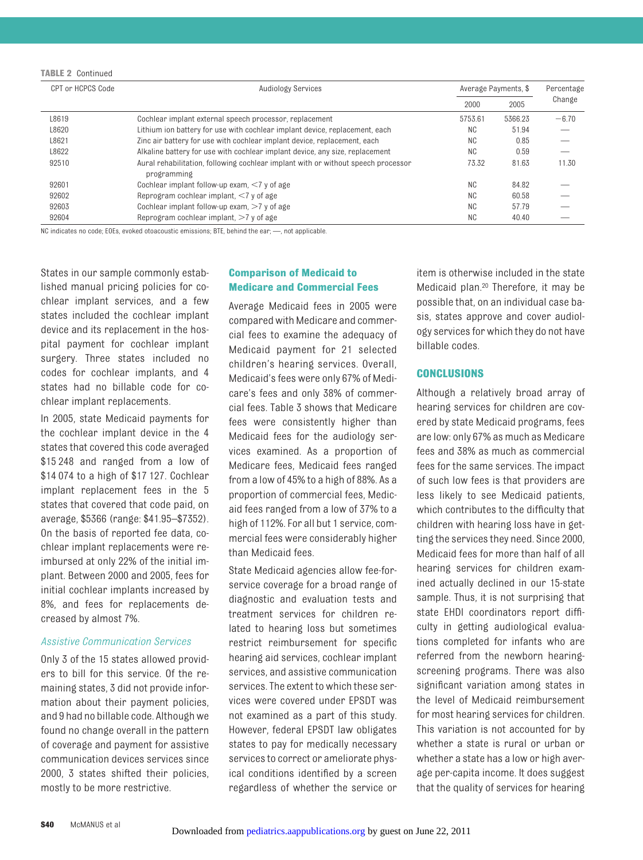| TABLE 2 | Continued |
|---------|-----------|
|---------|-----------|

| CPT or HCPCS Code | Audiology Services                                                                               |                | Average Payments, \$ |         |
|-------------------|--------------------------------------------------------------------------------------------------|----------------|----------------------|---------|
|                   |                                                                                                  | 2000           | 2005                 | Change  |
| L8619             | Cochlear implant external speech processor, replacement                                          | 5753.61        | 5366.23              | $-6.70$ |
| L8620             | Lithium ion battery for use with cochlear implant device, replacement, each                      | NC.            | 51.94                |         |
| L8621             | Zinc air battery for use with cochlear implant device, replacement, each                         | NC             | 0.85                 |         |
| L8622             | Alkaline battery for use with cochlear implant device, any size, replacement                     | NC.            | 0.59                 |         |
| 92510             | Aural rehabilitation, following cochlear implant with or without speech processor<br>programming | 73.32          | 81.63                | 11.30   |
| 92601             | Cochlear implant follow-up exam, $\leq 7$ y of age                                               | N <sub>C</sub> | 84.82                |         |
| 92602             | Reprogram cochlear implant, $\leq 7$ y of age                                                    | N <sub>C</sub> | 60.58                |         |
| 92603             | Cochlear implant follow-up exam, $>7$ y of age                                                   | N <sub>C</sub> | 57.79                |         |
| 92604             | Reprogram cochlear implant, $>7$ y of age                                                        | <b>NC</b>      | 40.40                |         |

NC indicates no code; EOEs, evoked otoacoustic emissions; BTE, behind the ear; —, not applicable.

States in our sample commonly established manual pricing policies for cochlear implant services, and a few states included the cochlear implant device and its replacement in the hospital payment for cochlear implant surgery. Three states included no codes for cochlear implants, and 4 states had no billable code for cochlear implant replacements.

In 2005, state Medicaid payments for the cochlear implant device in the 4 states that covered this code averaged \$15 248 and ranged from a low of \$14 074 to a high of \$17 127. Cochlear implant replacement fees in the 5 states that covered that code paid, on average, \$5366 (range: \$41.95–\$7352). On the basis of reported fee data, cochlear implant replacements were reimbursed at only 22% of the initial implant. Between 2000 and 2005, fees for initial cochlear implants increased by 8%, and fees for replacements decreased by almost 7%.

#### *Assistive Communication Services*

Only 3 of the 15 states allowed providers to bill for this service. Of the remaining states, 3 did not provide information about their payment policies, and 9 had no billable code. Although we found no change overall in the pattern of coverage and payment for assistive communication devices services since 2000, 3 states shifted their policies, mostly to be more restrictive.

# **Comparison of Medicaid to Medicare and Commercial Fees**

Average Medicaid fees in 2005 were compared with Medicare and commercial fees to examine the adequacy of Medicaid payment for 21 selected children's hearing services. Overall, Medicaid's fees were only 67% of Medicare's fees and only 38% of commercial fees. Table 3 shows that Medicare fees were consistently higher than Medicaid fees for the audiology services examined. As a proportion of Medicare fees, Medicaid fees ranged from a low of 45% to a high of 88%. As a proportion of commercial fees, Medicaid fees ranged from a low of 37% to a high of 112%. For all but 1 service, commercial fees were considerably higher than Medicaid fees.

State Medicaid agencies allow fee-forservice coverage for a broad range of diagnostic and evaluation tests and treatment services for children related to hearing loss but sometimes restrict reimbursement for specific hearing aid services, cochlear implant services, and assistive communication services. The extent to which these services were covered under EPSDT was not examined as a part of this study. However, federal EPSDT law obligates states to pay for medically necessary services to correct or ameliorate physical conditions identified by a screen regardless of whether the service or item is otherwise included in the state Medicaid plan.20 Therefore, it may be possible that, on an individual case basis, states approve and cover audiology services for which they do not have billable codes.

#### **CONCLUSIONS**

Although a relatively broad array of hearing services for children are covered by state Medicaid programs, fees are low: only 67% as much as Medicare fees and 38% as much as commercial fees for the same services. The impact of such low fees is that providers are less likely to see Medicaid patients, which contributes to the difficulty that children with hearing loss have in getting the services they need. Since 2000, Medicaid fees for more than half of all hearing services for children examined actually declined in our 15-state sample. Thus, it is not surprising that state EHDI coordinators report difficulty in getting audiological evaluations completed for infants who are referred from the newborn hearingscreening programs. There was also significant variation among states in the level of Medicaid reimbursement for most hearing services for children. This variation is not accounted for by whether a state is rural or urban or whether a state has a low or high average per-capita income. It does suggest that the quality of services for hearing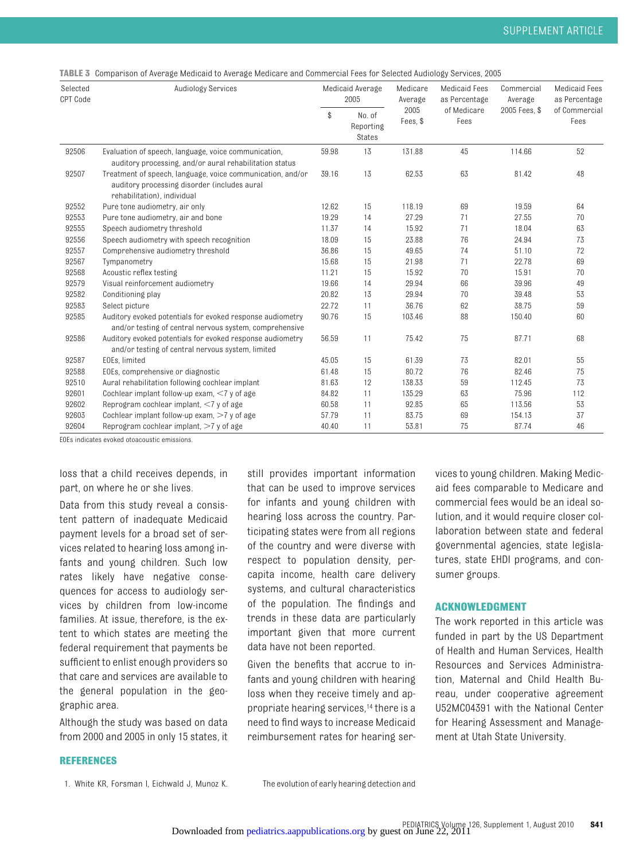**TABLE 3** Comparison of Average Medicaid to Average Medicare and Commercial Fees for Selected Audiology Services, 2005

| Selected<br>CPT Code | Audiology Services                                                                                                                        |       | Medicaid Average<br>2005      | Medicare<br>Average | <b>Medicaid Fees</b><br>as Percentage | Commercial<br>Average | <b>Medicaid Fees</b><br>as Percentage |
|----------------------|-------------------------------------------------------------------------------------------------------------------------------------------|-------|-------------------------------|---------------------|---------------------------------------|-----------------------|---------------------------------------|
|                      |                                                                                                                                           | \$    | No. of<br>Reporting<br>States | 2005<br>Fees, \$    | of Medicare<br>Fees                   | 2005 Fees, \$         | of Commercial<br>Fees                 |
| 92506                | Evaluation of speech, language, voice communication,<br>auditory processing, and/or aural rehabilitation status                           | 59.98 | 13                            | 131.88              | 45                                    | 114.66                | 52                                    |
| 92507                | Treatment of speech, language, voice communication, and/or<br>auditory processing disorder (includes aural<br>rehabilitation), individual | 39.16 | 13                            | 62.53               | 63                                    | 81.42                 | 48                                    |
| 92552                | Pure tone audiometry, air only                                                                                                            | 12.62 | 15                            | 118.19              | 69                                    | 19.59                 | 64                                    |
| 92553                | Pure tone audiometry, air and bone                                                                                                        | 19.29 | 14                            | 27.29               | 71                                    | 27.55                 | 70                                    |
| 92555                | Speech audiometry threshold                                                                                                               | 11.37 | 14                            | 15.92               | 71                                    | 18.04                 | 63                                    |
| 92556                | Speech audiometry with speech recognition                                                                                                 | 18.09 | 15                            | 23.88               | 76                                    | 24.94                 | 73                                    |
| 92557                | Comprehensive audiometry threshold                                                                                                        | 36.86 | 15                            | 49.65               | 74                                    | 51.10                 | 72                                    |
| 92567                | Tympanometry                                                                                                                              | 15.68 | 15                            | 21.98               | 71                                    | 22.78                 | 69                                    |
| 92568                | Acoustic reflex testing                                                                                                                   | 11.21 | 15                            | 15.92               | 70                                    | 15.91                 | 70                                    |
| 92579                | Visual reinforcement audiometry                                                                                                           | 19.66 | 14                            | 29.94               | 66                                    | 39.96                 | 49                                    |
| 92582                | Conditioning play                                                                                                                         | 20.82 | 13                            | 29.94               | 70                                    | 39.48                 | 53                                    |
| 92583                | Select picture                                                                                                                            | 22.72 | 11                            | 36.76               | 62                                    | 38.75                 | 59                                    |
| 92585                | Auditory evoked potentials for evoked response audiometry<br>and/or testing of central nervous system, comprehensive                      | 90.76 | 15                            | 103.46              | 88                                    | 150.40                | 60                                    |
| 92586                | Auditory evoked potentials for evoked response audiometry<br>and/or testing of central nervous system, limited                            | 56.59 | 11                            | 75.42               | 75                                    | 87.71                 | 68                                    |
| 92587                | EOEs, limited                                                                                                                             | 45.05 | 15                            | 61.39               | 73                                    | 82.01                 | 55                                    |
| 92588                | EOEs, comprehensive or diagnostic                                                                                                         | 61.48 | 15                            | 80.72               | 76                                    | 82.46                 | 75                                    |
| 92510                | Aural rehabilitation following cochlear implant                                                                                           | 81.63 | 12                            | 138.33              | 59                                    | 112.45                | 73                                    |
| 92601                | Cochlear implant follow-up exam, $\leq 7$ y of age                                                                                        | 84.82 | 11                            | 135.29              | 63                                    | 75.96                 | 112                                   |
| 92602                | Reprogram cochlear implant, $<$ 7 y of age                                                                                                | 60.58 | 11                            | 92.85               | 65                                    | 113.56                | 53                                    |
| 92603                | Cochlear implant follow-up exam, $>7$ y of age                                                                                            | 57.79 | 11                            | 83.75               | 69                                    | 154.13                | 37                                    |
| 92604                | Reprogram cochlear implant, $>7$ y of age                                                                                                 | 40.40 | 11                            | 53.81               | 75                                    | 87.74                 | 46                                    |

EOEs indicates evoked otoacoustic emissions.

loss that a child receives depends, in part, on where he or she lives.

Data from this study reveal a consistent pattern of inadequate Medicaid payment levels for a broad set of services related to hearing loss among infants and young children. Such low rates likely have negative consequences for access to audiology services by children from low-income families. At issue, therefore, is the extent to which states are meeting the federal requirement that payments be sufficient to enlist enough providers so that care and services are available to the general population in the geographic area.

Although the study was based on data from 2000 and 2005 in only 15 states, it

# still provides important information that can be used to improve services for infants and young children with hearing loss across the country. Participating states were from all regions of the country and were diverse with respect to population density, percapita income, health care delivery systems, and cultural characteristics of the population. The findings and trends in these data are particularly important given that more current data have not been reported.

Given the benefits that accrue to infants and young children with hearing loss when they receive timely and appropriate hearing services,14 there is a need to find ways to increase Medicaid reimbursement rates for hearing services to young children. Making Medicaid fees comparable to Medicare and commercial fees would be an ideal solution, and it would require closer collaboration between state and federal governmental agencies, state legislatures, state EHDI programs, and consumer groups.

#### **ACKNOWLEDGMENT**

The work reported in this article was funded in part by the US Department of Health and Human Services, Health Resources and Services Administration, Maternal and Child Health Bureau, under cooperative agreement U52MC04391 with the National Center for Hearing Assessment and Management at Utah State University.

#### **REFERENCES**

1. White KR, Forsman I, Eichwald J, Munoz K. The evolution of early hearing detection and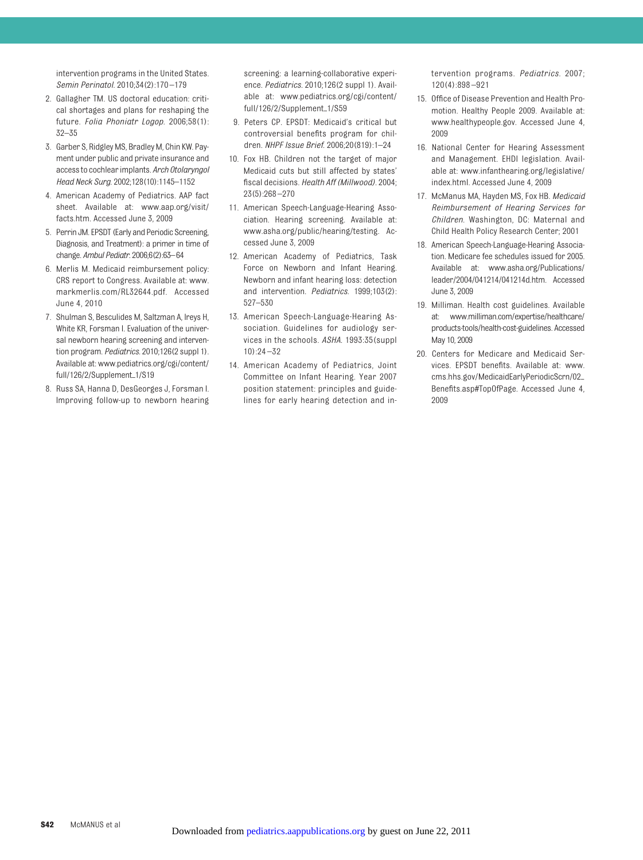intervention programs in the United States. *Semin Perinatol.* 2010;34(2):170 –179

- 2. Gallagher TM. US doctoral education: critical shortages and plans for reshaping the future. *Folia Phoniatr Logop.* 2006;58(1): 32–35
- 3. Garber S, Ridgley MS, Bradley M, Chin KW. Payment under public and private insurance and accessto cochlear implants. *Arch Otolaryngol Head Neck Surg.* 2002;128(10):1145–1152
- 4. American Academy of Pediatrics. AAP fact sheet. Available at: www.aap.org/visit/ facts.htm. Accessed June 3, 2009
- 5. Perrin JM. EPSDT (Early and Periodic Screening, Diagnosis, and Treatment): a primer in time of change. *Ambul Pediatr.* 2006;6(2):63–64
- 6. Merlis M. Medicaid reimbursement policy: CRS report to Congress. Available at: www. markmerlis.com/RL32644.pdf. Accessed June 4, 2010
- 7. Shulman S, Besculides M, Saltzman A, Ireys H, White KR, Forsman I. Evaluation of the universal newborn hearing screening and intervention program. *Pediatrics.* 2010;126(2 suppl 1). Available at: www.pediatrics.org/cgi/content/ full/126/2/Supplement\_1/S19
- 8. Russ SA, Hanna D, DesGeorges J, Forsman I. Improving follow-up to newborn hearing

screening: a learning-collaborative experience. *Pediatrics.* 2010;126(2 suppl 1). Available at: www.pediatrics.org/cgi/content/ full/126/2/Supplement\_1/S59

- 9. Peters CP. EPSDT: Medicaid's critical but controversial benefits program for children. *NHPF Issue Brief.* 2006;20(819):1–24
- 10. Fox HB. Children not the target of major Medicaid cuts but still affected by states' fiscal decisions. *Health Aff (Millwood).* 2004; 23(5):268 –270
- 11. American Speech-Language-Hearing Association. Hearing screening. Available at: www.asha.org/public/hearing/testing. Accessed June 3, 2009
- 12. American Academy of Pediatrics, Task Force on Newborn and Infant Hearing. Newborn and infant hearing loss: detection and intervention. *Pediatrics.* 1999;103(2): 527–530
- 13. American Speech-Language-Hearing Association. Guidelines for audiology services in the schools. *ASHA.* 1993:35(suppl  $10$ ) $.24 - 32$
- 14. American Academy of Pediatrics, Joint Committee on Infant Hearing. Year 2007 position statement: principles and guidelines for early hearing detection and in-

tervention programs. *Pediatrics.* 2007; 120(4):898 –921

- 15. Office of Disease Prevention and Health Promotion. Healthy People 2009. Available at: www.healthypeople.gov. Accessed June 4, 2009
- 16. National Center for Hearing Assessment and Management. EHDI legislation. Available at: www.infanthearing.org/legislative/ index.html. Accessed June 4, 2009
- 17. McManus MA, Hayden MS, Fox HB. *Medicaid Reimbursement of Hearing Services for Children*. Washington, DC: Maternal and Child Health Policy Research Center; 2001
- 18. American Speech-Language-Hearing Association. Medicare fee schedules issued for 2005. Available at: www.asha.org/Publications/ leader/2004/041214/041214d.htm. Accessed June 3, 2009
- 19. Milliman. Health cost guidelines. Available at: www.milliman.com/expertise/healthcare/ products-tools/health-cost-guidelines. Accessed May 10, 2009
- 20. Centers for Medicare and Medicaid Services. EPSDT benefits. Available at: www. cms.hhs.gov/MedicaidEarlyPeriodicScrn/02 Benefits.asp#TopOfPage. Accessed June 4, 2009